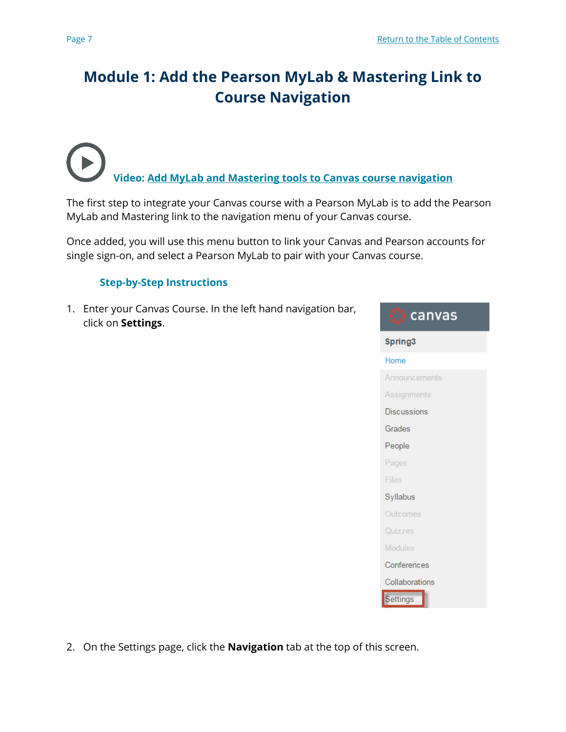# **Module 1: Add the Pearson MyLab & Mastering Link to Course Navigation**

**Video: [Add MyLab and Mastering tools](https://www.youtube.com/watch?v=QswtcVNKaLw&feature=youtu.be) to Canvas course navigation**

The first step to integrate your Canvas course with a Pearson MyLab is to add the Pearson MyLab and Mastering link to the navigation menu of your Canvas course.

Once added, you will use this menu button to link your Canvas and Pearson accounts for single sign-on, and select a Pearson MyLab to pair with your Canvas course.

# **Step-by-Step Instructions**

1. Enter your Canvas Course. In the left hand navigation bar, click on **Settings**.



2. On the Settings page, click the **Navigation** tab at the top of this screen.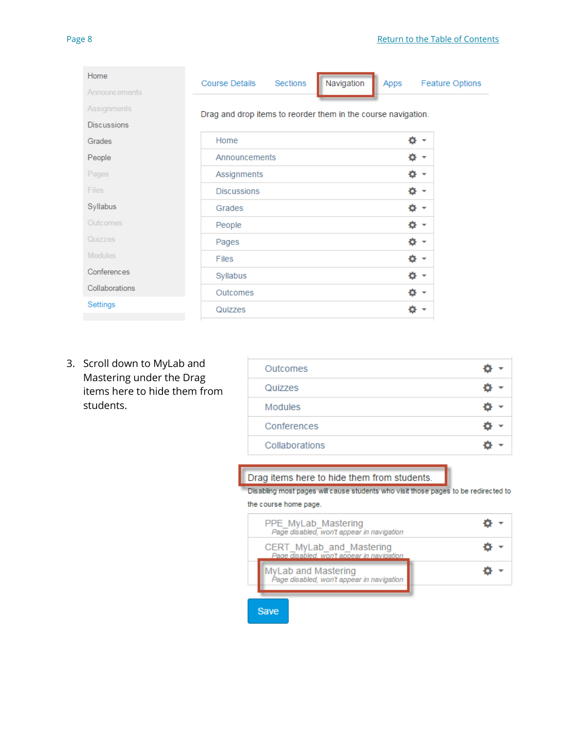| Navigation<br>Apps<br>Feature Options                         |
|---------------------------------------------------------------|
| Drag and drop items to reorder them in the course navigation. |
|                                                               |
| ÷.<br>$\overline{\mathbf{v}}$                                 |
| ۰<br>$\overline{\mathbf{v}}$                                  |
| Ô.<br>▼                                                       |
| ٠<br>$\overline{\mathbf{v}}$                                  |
| o.<br>$\overline{\phantom{a}}$                                |
| ۰<br>▼                                                        |
| 쵸<br>۰                                                        |
| ۰<br>٠                                                        |
| ۰                                                             |
| ۰<br>$\overline{\phantom{a}}$                                 |
| o                                                             |
|                                                               |

3. Scroll down to MyLab and Mastering under the Drag items here to hide them from students.

| Outcomes       |  |
|----------------|--|
| Quizzes        |  |
| Modules        |  |
| Conferences    |  |
| Collaborations |  |

## Drag items here to hide them from students.

Disabling most pages will cause students who visit those pages to be redirected to

#### the course home page.

| PPE MyLab Mastering<br>Page disabled, won't appear in navigation      |  |
|-----------------------------------------------------------------------|--|
| CERT_MyLab_and_Mastering<br>Page disabled, won't appear in navigation |  |
| MyLab and Mastering<br>Page disabled, won't appear in navigation      |  |

Save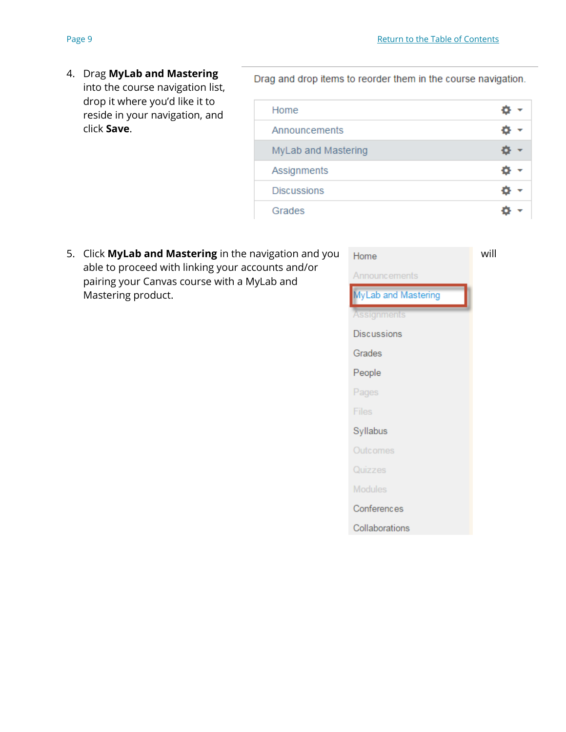4. Drag **MyLab and Mastering** into the course navigation list, drop it where you'd like it to reside in your navigation, and click **Save**.

Drag and drop items to reorder them in the course navigation.

| Home                |  |
|---------------------|--|
| Announcements       |  |
| MyLab and Mastering |  |
| Assignments         |  |
| <b>Discussions</b>  |  |
| Grades              |  |

5. Click **MyLab and Mastering** in the navigation and you Home able to proceed with linking your accounts and/or pairing your Canvas course with a MyLab and Mastering product.

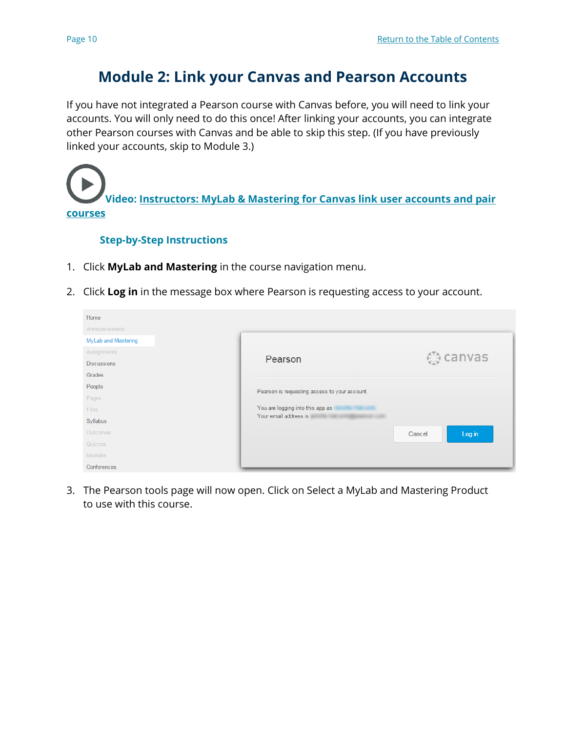# **Module 2: Link your Canvas and Pearson Accounts**

If you have not integrated a Pearson course with Canvas before, you will need to link your accounts. You will only need to do this once! After linking your accounts, you can integrate other Pearson courses with Canvas and be able to skip this step. (If you have previously linked your accounts, skip to Module 3.)

**Video: [Instructors: MyLab & Mastering for Canvas link user accounts and pair](https://www.youtube.com/watch?v=RD2ynsBkiEg&index=2&list=PL9D77SRA6m1tGYPWEj14pG_8AquWzaXm6)  [courses](https://www.youtube.com/watch?v=RD2ynsBkiEg&index=2&list=PL9D77SRA6m1tGYPWEj14pG_8AquWzaXm6)**

## **Step-by-Step Instructions**

- 1. Click **MyLab and Mastering** in the course navigation menu.
- 2. Click **Log in** in the message box where Pearson is requesting access to your account.

| Home                 |                                               |                  |
|----------------------|-----------------------------------------------|------------------|
| <b>Announcements</b> |                                               |                  |
| MyLab and Mastering  |                                               |                  |
| Assignments          |                                               | <b>① canvas</b>  |
| <b>Discussions</b>   | Pearson                                       |                  |
| Grades               |                                               |                  |
| People               | Pearson is requesting access to your account. |                  |
| Pages                |                                               |                  |
| Files                | You are logging into this app as              |                  |
| Syllabus             | Your email address is                         |                  |
| Outcomes             |                                               | Log in<br>Cancel |
| Quizzes              |                                               |                  |
| <b>Modules</b>       |                                               |                  |
| Conferences          |                                               |                  |

3. The Pearson tools page will now open. Click on Select a MyLab and Mastering Product to use with this course.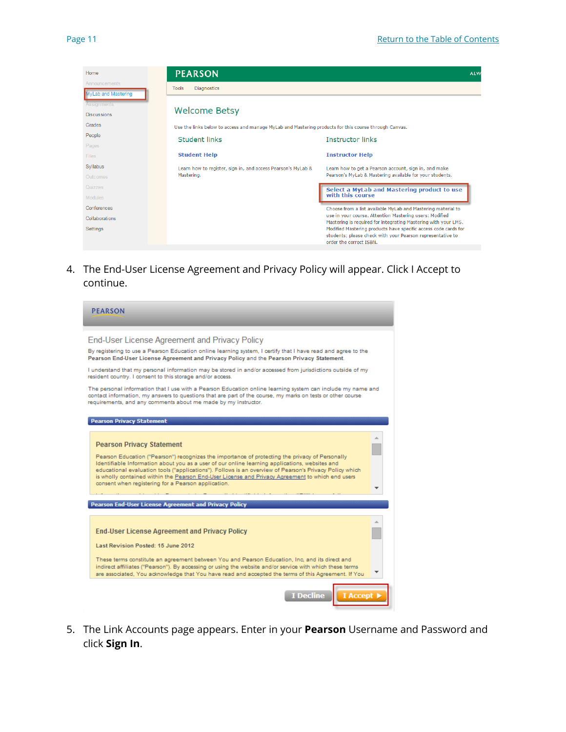| Home                                                                   | <b>PEARSON</b>                                                                                        | ALW                                                                                                                                                                                       |
|------------------------------------------------------------------------|-------------------------------------------------------------------------------------------------------|-------------------------------------------------------------------------------------------------------------------------------------------------------------------------------------------|
| <b>Announcements</b>                                                   | <b>Diagnostics</b><br><b>Tools</b>                                                                    |                                                                                                                                                                                           |
| <b>MyLab and Mastering</b><br><b>Assignments</b><br><b>Discussions</b> | <b>Welcome Betsy</b>                                                                                  |                                                                                                                                                                                           |
| Grades                                                                 | Use the links below to access and manage MyLab and Mastering products for this course through Canvas. |                                                                                                                                                                                           |
| People                                                                 | Student links                                                                                         | <b>Instructor links</b>                                                                                                                                                                   |
| Pages                                                                  |                                                                                                       |                                                                                                                                                                                           |
| <b>Files</b>                                                           | <b>Student Help</b>                                                                                   | <b>Instructor Help</b>                                                                                                                                                                    |
| Syllabus<br>Outcomes                                                   | Learn how to register, sign in, and access Pearson's MyLab &<br>Mastering.                            | Learn how to get a Pearson account, sign in, and make<br>Pearson's MyLab & Mastering available for your students.                                                                         |
| Quizzes                                                                |                                                                                                       | Select a MyLab and Mastering product to use<br>with this course                                                                                                                           |
| <b>Modules</b>                                                         |                                                                                                       |                                                                                                                                                                                           |
| Conferences<br>Collaborations                                          |                                                                                                       | Choose from a list available MyLab and Mastering material to<br>use in your course. Attention Mastering users: Modified<br>Mastering is required for integrating Mastering with your LMS. |
| Settings                                                               |                                                                                                       | Modified Mastering products have specific access code cards for<br>students; please check with your Pearson representative to<br>order the correct ISBN.                                  |

4. The End-User License Agreement and Privacy Policy will appear. Click I Accept to continue.



5. The Link Accounts page appears. Enter in your **Pearson** Username and Password and click **Sign In**.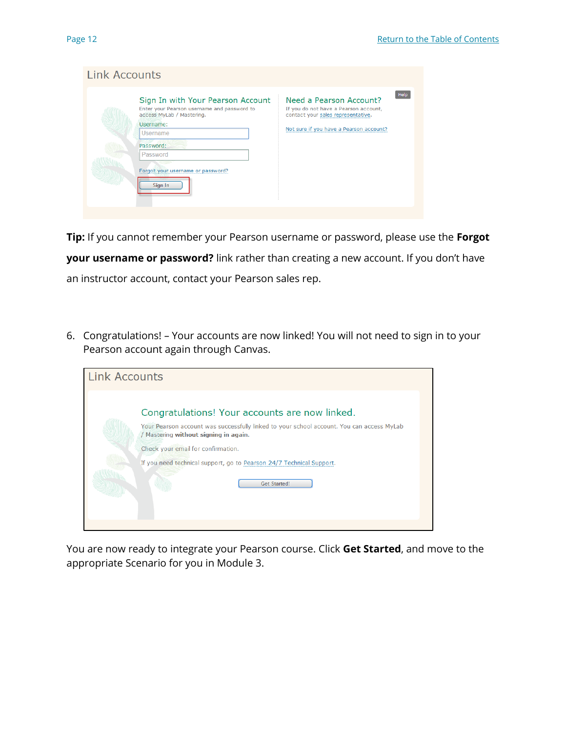| Link Accounts |                                                                                                                                                                                                                        |                                                                                                                                                   |      |
|---------------|------------------------------------------------------------------------------------------------------------------------------------------------------------------------------------------------------------------------|---------------------------------------------------------------------------------------------------------------------------------------------------|------|
|               | Sign In with Your Pearson Account<br>Enter your Pearson username and password to<br>access MyLab / Mastering.<br>Username:<br><b>Username</b><br>Password:<br>Password<br>Forgot your username or password?<br>Sign In | Need a Pearson Account?<br>If you do not have a Pearson account,<br>contact your sales representative.<br>Not sure if you have a Pearson account? | Help |

**Tip:** If you cannot remember your Pearson username or password, please use the **Forgot your username or password?** link rather than creating a new account. If you don't have an instructor account, contact your Pearson sales rep.

6. Congratulations! – Your accounts are now linked! You will not need to sign in to your Pearson account again through Canvas.

| <b>Link Accounts</b> |                                                                                                                                    |
|----------------------|------------------------------------------------------------------------------------------------------------------------------------|
|                      | Congratulations! Your accounts are now linked.                                                                                     |
|                      | Your Pearson account was successfully linked to your school account. You can access MyLab<br>/ Mastering without signing in again. |
|                      | Check your email for confirmation.                                                                                                 |
|                      | If you need technical support, go to Pearson 24/7 Technical Support.                                                               |
|                      | <b>Get Started!</b>                                                                                                                |
|                      |                                                                                                                                    |

You are now ready to integrate your Pearson course. Click **Get Started**, and move to the appropriate Scenario for you in Module 3.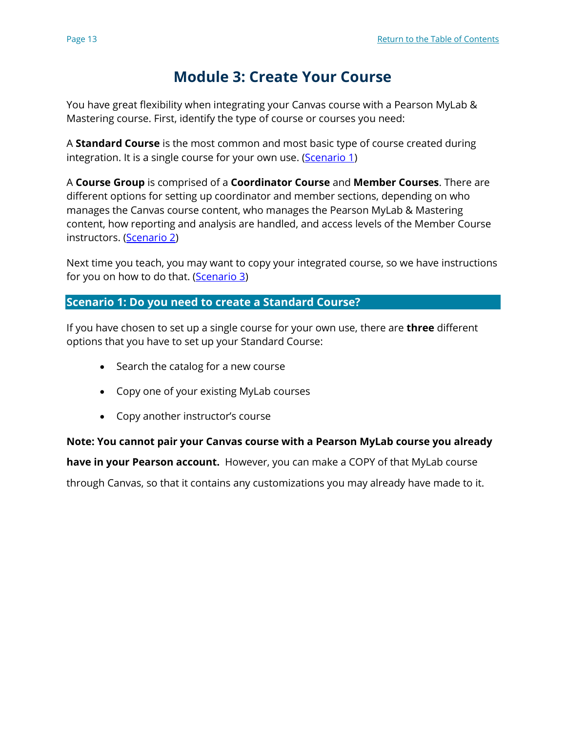# **Module 3: Create Your Course**

You have great flexibility when integrating your Canvas course with a Pearson MyLab & Mastering course. First, identify the type of course or courses you need:

A **Standard Course** is the most common and most basic type of course created during integration. It is a single course for your own use. [\(Scenario 1\)](#page-6-0)

A **Course Group** is comprised of a **Coordinator Course** and **Member Courses**. There are different options for setting up coordinator and member sections, depending on who manages the Canvas course content, who manages the Pearson MyLab & Mastering content, how reporting and analysis are handled, and access levels of the Member Course instructors. (Scenario 2)

Next time you teach, you may want to copy your integrated course, so we have instructions for you on how to do that. (Scenario 3)

# <span id="page-6-0"></span>**Scenario 1: Do you need to create a Standard Course?**

If you have chosen to set up a single course for your own use, there are **three** different options that you have to set up your Standard Course:

- Search the catalog for a new course
- Copy one of your existing MyLab courses
- Copy another instructor's course

# **Note: You cannot pair your Canvas course with a Pearson MyLab course you already**

**have in your Pearson account.** However, you can make a COPY of that MyLab course

through Canvas, so that it contains any customizations you may already have made to it.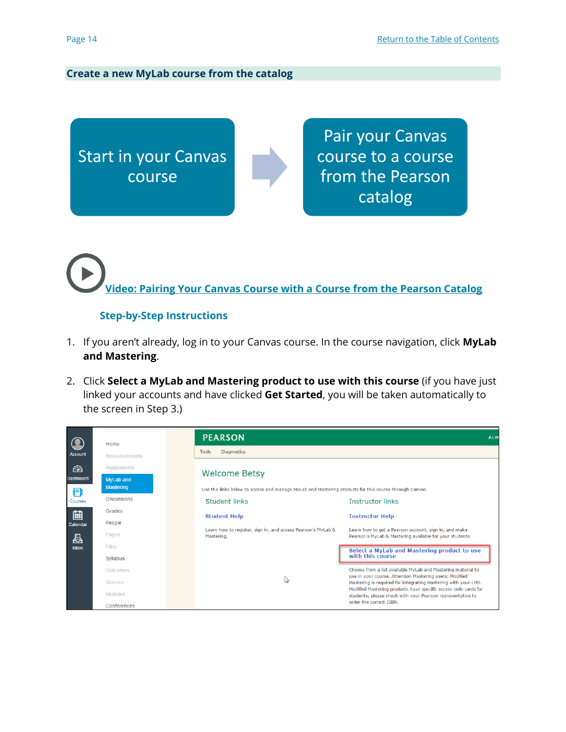#### **Create a new MyLab course from the catalog**

Start in your Canvas course

Pair your Canvas course to a course from the Pearson catalog

**[Video: Pairing Your Canvas Course with a Course from the Pearson Catalog](https://www.youtube.com/watch?v=2Y-qZ1_-Ibo&index=16&list=PL9D77SRA6m1tGYPWEj14pG_8AquWzaXm6)**

## **Step-by-Step Instructions**

- 1. If you aren't already, log in to your Canvas course. In the course navigation, click **MyLab and Mastering**.
- 2. Click **Select a MyLab and Mastering product to use with this course** (if you have just linked your accounts and have clicked **Get Started**, you will be taken automatically to the screen in Step 3.)

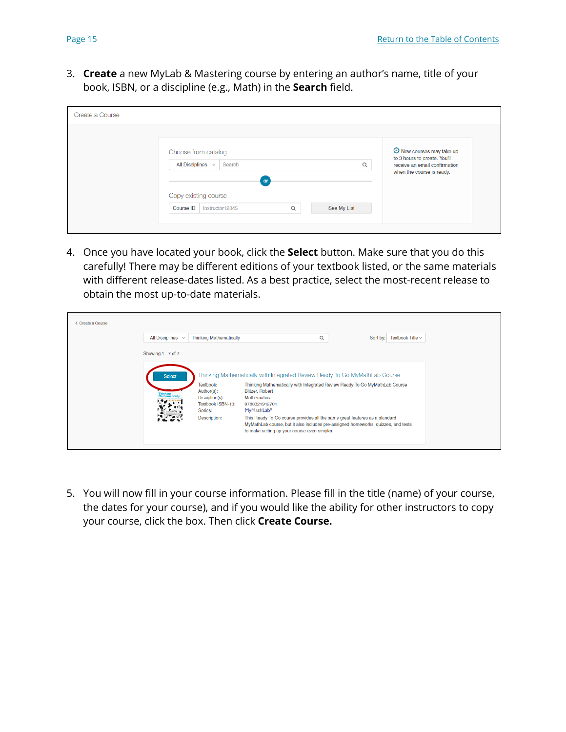3. **Create** a new MyLab & Mastering course by entering an author's name, title of your book, ISBN, or a discipline (e.g., Math) in the **Search** field.

| Create a Course                                                                                                                                                                     |                                                                                                                         |
|-------------------------------------------------------------------------------------------------------------------------------------------------------------------------------------|-------------------------------------------------------------------------------------------------------------------------|
| Choose from catalog<br>All Disciplines $\sim$<br>Search<br>Q<br>$\overline{\text{or}}$<br>Copy existing course<br>See My List<br><b>Course ID</b><br>$\mathsf Q$<br>Instructor12345 | O New courses may take up<br>to 3 hours to create. You'll<br>receive an email confirmation<br>when the course is ready. |

4. Once you have located your book, click the **Select** button. Make sure that you do this carefully! There may be different editions of your textbook listed, or the same materials with different release-dates listed. As a best practice, select the most-recent release to obtain the most up-to-date materials.

| < Create a Course |                    |                                                                                           |                                                                                                                                                                                                                                                                                                                                                                                                                                                                          |   |                                |  |
|-------------------|--------------------|-------------------------------------------------------------------------------------------|--------------------------------------------------------------------------------------------------------------------------------------------------------------------------------------------------------------------------------------------------------------------------------------------------------------------------------------------------------------------------------------------------------------------------------------------------------------------------|---|--------------------------------|--|
|                   | All Disciplines v  | <b>Thinking Mathematically</b>                                                            |                                                                                                                                                                                                                                                                                                                                                                                                                                                                          | Q | Sort by: Textbook Title $\sim$ |  |
|                   | Showing 1 - 7 of 7 |                                                                                           |                                                                                                                                                                                                                                                                                                                                                                                                                                                                          |   |                                |  |
|                   | <b>Select</b>      | Textbook:<br>Author(s):<br>Discipline(s):<br>Textbook ISBN-13:<br>Series:<br>Description: | Thinking Mathematically with Integrated Review Ready To Go MyMathLab Course<br>Thinking Mathematically with Integrated Review Ready To Go MyMathLab Course<br><b>Blitzer, Robert</b><br><b>Mathematics</b><br>9780321912701<br>MyMathLab <sup>®</sup><br>This Ready To Go course provides all the same great features as a standard<br>MyMathLab course, but it also includes pre-assigned homeworks, guizzes, and tests<br>to make setting up your course even simpler. |   |                                |  |

5. You will now fill in your course information. Please fill in the title (name) of your course, the dates for your course), and if you would like the ability for other instructors to copy your course, click the box. Then click **Create Course.**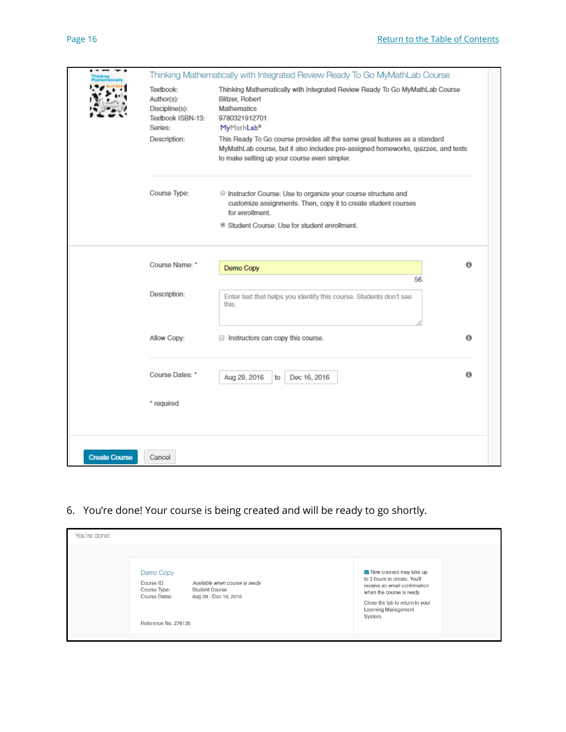|                      |                                                                           | Thinking Mathematically with Integrated Review Ready To Go MyMathLab Course                                                                                                                                     |   |
|----------------------|---------------------------------------------------------------------------|-----------------------------------------------------------------------------------------------------------------------------------------------------------------------------------------------------------------|---|
|                      | Textbook:<br>Author(s):<br>Discipline(s):<br>Textbook ISBN-13:<br>Series: | Thinking Mathematically with Integrated Review Ready To Go MyMathLab Course<br><b>Blitzer, Robert</b><br><b>Mathematics</b><br>9780321912701<br>MyMathLab <sup>®</sup>                                          |   |
|                      | Description:                                                              | This Ready To Go course provides all the same great features as a standard<br>MyMathLab course, but it also includes pre-assigned homeworks, quizzes, and tests<br>to make setting up your course even simpler. |   |
|                      | Course Type:                                                              | C Instructor Course: Use to organize your course structure and<br>customize assignments. Then, copy it to create student courses<br>for enrollment.<br>Student Course: Use for student enrollment.              |   |
|                      |                                                                           |                                                                                                                                                                                                                 |   |
|                      | Course Name: *                                                            | Demo Copy                                                                                                                                                                                                       | Θ |
|                      | Description:                                                              | 56<br>Enter text that helps you identify this course. Students don't see<br>this.                                                                                                                               |   |
|                      | Allow Copy:                                                               | Instructors can copy this course.                                                                                                                                                                               | Θ |
|                      | Course Dates: *                                                           | Dec 16, 2016<br>Aug 29, 2016<br>to                                                                                                                                                                              | Θ |
|                      | * required                                                                |                                                                                                                                                                                                                 |   |
| <b>Create Course</b> | Cancel                                                                    |                                                                                                                                                                                                                 |   |

6. You're done! Your course is being created and will be ready to go shortly.

| You're done!                                                                                                                                                                |                                                                                                                                                                                                                         |
|-----------------------------------------------------------------------------------------------------------------------------------------------------------------------------|-------------------------------------------------------------------------------------------------------------------------------------------------------------------------------------------------------------------------|
| Demo Copy<br>Course ID:<br>Available when course is ready<br><b>Student Course</b><br>Course Type:<br><b>Course Dates:</b><br>Aug 29 - Dec 16, 2016<br>Reference No. 276135 | $\blacktriangleright$ New courses may take up<br>to 3 hours to create. You'll<br>receive an email confirmation<br>when the course is ready.<br>Close the tab to return to your<br><b>Learning Management</b><br>System. |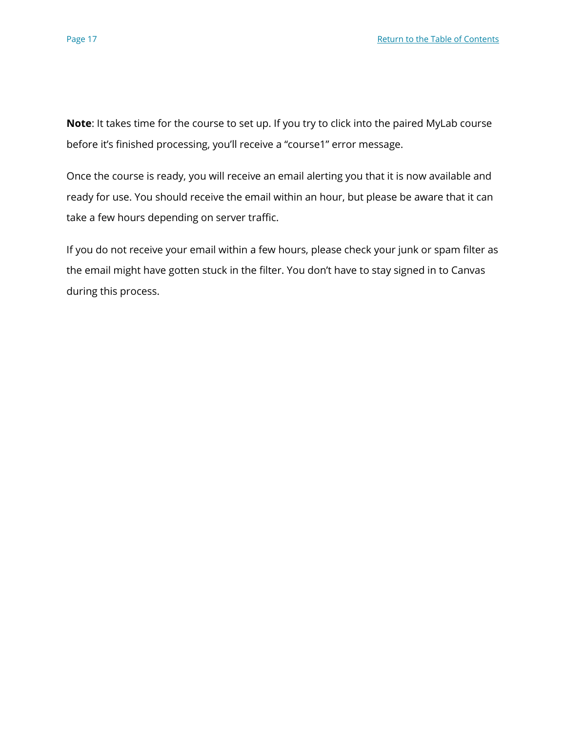**Note**: It takes time for the course to set up. If you try to click into the paired MyLab course before it's finished processing, you'll receive a "course1" error message.

Once the course is ready, you will receive an email alerting you that it is now available and ready for use. You should receive the email within an hour, but please be aware that it can take a few hours depending on server traffic.

If you do not receive your email within a few hours, please check your junk or spam filter as the email might have gotten stuck in the filter. You don't have to stay signed in to Canvas during this process.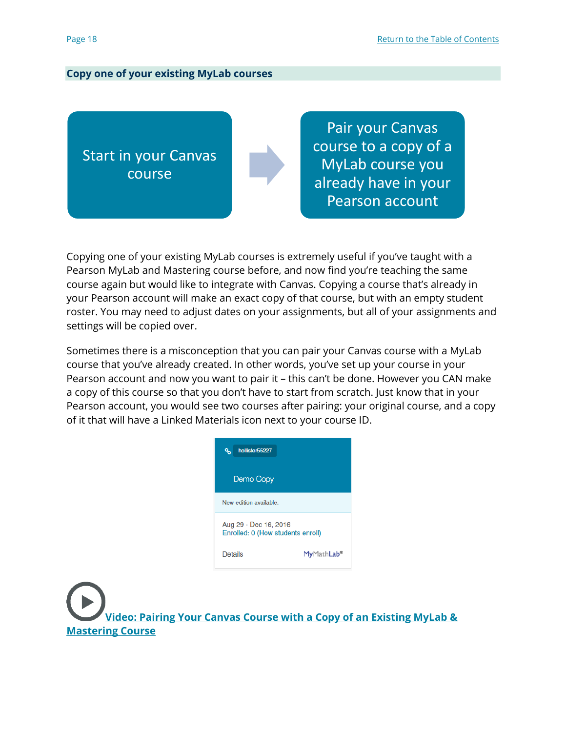#### **Copy one of your existing MyLab courses**

Start in your Canvas course

Pair your Canvas course to a copy of a MyLab course you already have in your Pearson account

Copying one of your existing MyLab courses is extremely useful if you've taught with a Pearson MyLab and Mastering course before, and now find you're teaching the same course again but would like to integrate with Canvas. Copying a course that's already in your Pearson account will make an exact copy of that course, but with an empty student roster. You may need to adjust dates on your assignments, but all of your assignments and settings will be copied over.

Sometimes there is a misconception that you can pair your Canvas course with a MyLab course that you've already created. In other words, you've set up your course in your Pearson account and now you want to pair it – this can't be done. However you CAN make a copy of this course so that you don't have to start from scratch. Just know that in your Pearson account, you would see two courses after pairing: your original course, and a copy of it that will have a Linked Materials icon next to your course ID.



**Video: Pairing Your Canvas Course with a Copy of an Existing MyLab & [Mastering Course](https://www.youtube.com/watch?v=q0dSVrFr7v4&list=PL9D77SRA6m1tGYPWEj14pG_8AquWzaXm6&index=5)**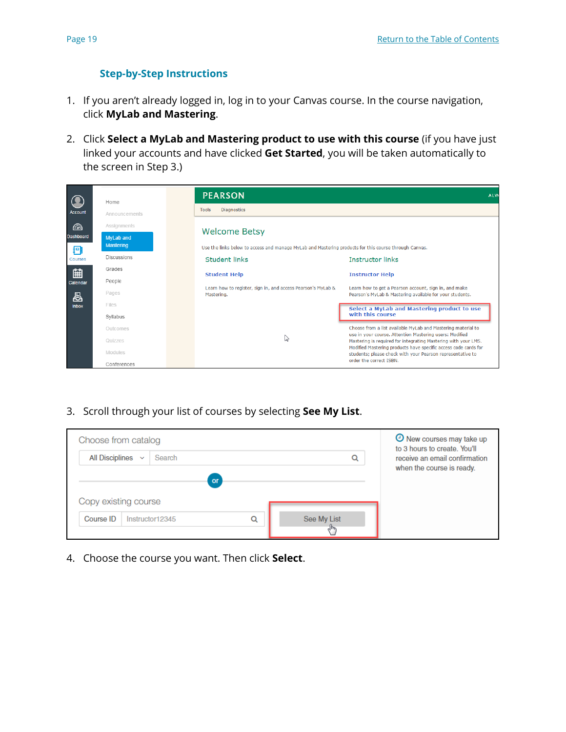# **Step-by-Step Instructions**

- 1. If you aren't already logged in, log in to your Canvas course. In the course navigation, click **MyLab and Mastering**.
- 2. Click **Select a MyLab and Mastering product to use with this course** (if you have just linked your accounts and have clicked **Get Started**, you will be taken automatically to the screen in Step 3.)

|                       | Home                                 |       | <b>PEARSON</b>                                                                                        |                                                                                                                                   | ALW |
|-----------------------|--------------------------------------|-------|-------------------------------------------------------------------------------------------------------|-----------------------------------------------------------------------------------------------------------------------------------|-----|
| <b>Account</b>        | Announcements                        | Tools | <b>Diagnostics</b>                                                                                    |                                                                                                                                   |     |
| $\odot$               | Assignments                          |       | <b>Welcome Betsy</b>                                                                                  |                                                                                                                                   |     |
| <b>Dashboard</b><br>Ð | <b>MyLab and</b><br><b>Mastering</b> |       | Use the links below to access and manage MyLab and Mastering products for this course through Canvas. |                                                                                                                                   |     |
| Courses               | <b>Discussions</b>                   |       | <b>Student links</b>                                                                                  | <b>Instructor links</b>                                                                                                           |     |
| 窜                     | Grades                               |       | <b>Student Help</b>                                                                                   | <b>Instructor Help</b>                                                                                                            |     |
| Calendar<br>咼         | People<br>Pages                      |       | Learn how to register, sign in, and access Pearson's MyLab &<br>Mastering.                            | Learn how to get a Pearson account, sign in, and make<br>Pearson's MyLab & Mastering available for your students.                 |     |
| <b>Inbox</b>          | Files<br>Syllabus                    |       |                                                                                                       | Select a MyLab and Mastering product to use<br>with this course                                                                   |     |
|                       | Outcomes                             |       |                                                                                                       | Choose from a list available MyLab and Mastering material to<br>use in your course. Attention Mastering users: Modified           |     |
|                       | Quizzes                              |       | ピ                                                                                                     | Mastering is required for integrating Mastering with your LMS.<br>Modified Mastering products have specific access code cards for |     |
|                       | Modules<br>Conferences               |       |                                                                                                       | students; please check with your Pearson representative to<br>order the correct ISBN.                                             |     |

3. Scroll through your list of courses by selecting **See My List**.

| Choose from catalog                                    |                      | O New courses may take up<br>to 3 hours to create. You'll  |
|--------------------------------------------------------|----------------------|------------------------------------------------------------|
| <b>All Disciplines</b><br>Search<br>$\checkmark$<br>or | Q                    | receive an email confirmation<br>when the course is ready. |
| Copy existing course                                   |                      |                                                            |
| Course ID<br>Q<br>Instructor12345                      | See My List<br>لرراك |                                                            |

4. Choose the course you want. Then click **Select**.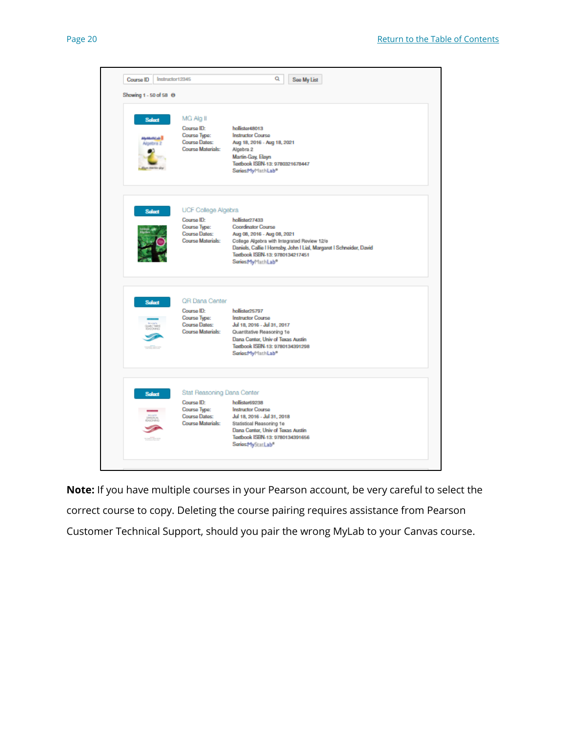

**Note:** If you have multiple courses in your Pearson account, be very careful to select the correct course to copy. Deleting the course pairing requires assistance from Pearson Customer Technical Support, should you pair the wrong MyLab to your Canvas course.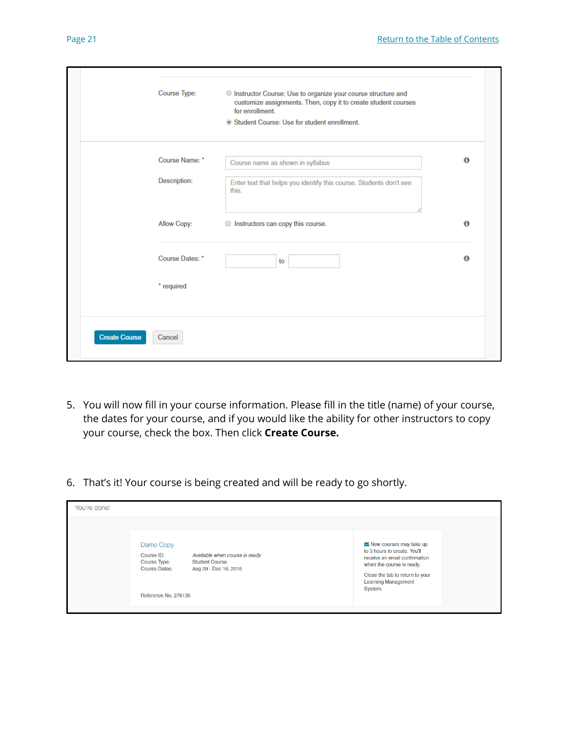|                      | Course Type:    | O Instructor Course: Use to organize your course structure and                    |                  |
|----------------------|-----------------|-----------------------------------------------------------------------------------|------------------|
|                      |                 | customize assignments. Then, copy it to create student courses<br>for enrollment. |                  |
|                      |                 | Student Course: Use for student enrollment.                                       |                  |
|                      | Course Name: *  | Course name as shown in syllabus                                                  | $\mathbf \Omega$ |
|                      | Description:    | Enter text that helps you identify this course. Students don't see<br>this.       |                  |
|                      | Allow Copy:     | nstructors can copy this course.                                                  | $\bullet$        |
|                      | Course Dates: * | to                                                                                | $\bullet$        |
|                      | * required      |                                                                                   |                  |
| <b>Create Course</b> | Cancel          |                                                                                   |                  |

- 5. You will now fill in your course information. Please fill in the title (name) of your course, the dates for your course, and if you would like the ability for other instructors to copy your course, check the box. Then click **Create Course.**
- 6. That's it! Your course is being created and will be ready to go shortly.

| You're done! |                                                                                                                                                                                    |                                                                                                                                                                                                                         |
|--------------|------------------------------------------------------------------------------------------------------------------------------------------------------------------------------------|-------------------------------------------------------------------------------------------------------------------------------------------------------------------------------------------------------------------------|
|              | Demo Copy<br>Course ID:<br>Available when course is ready<br><b>Course Type:</b><br><b>Student Course</b><br><b>Course Dates:</b><br>Aug 29 - Dec 16, 2016<br>Reference No. 276135 | $\blacktriangleright$ New courses may take up<br>to 3 hours to create. You'll<br>receive an email confirmation<br>when the course is ready.<br>Close the tab to return to your<br><b>Learning Management</b><br>System. |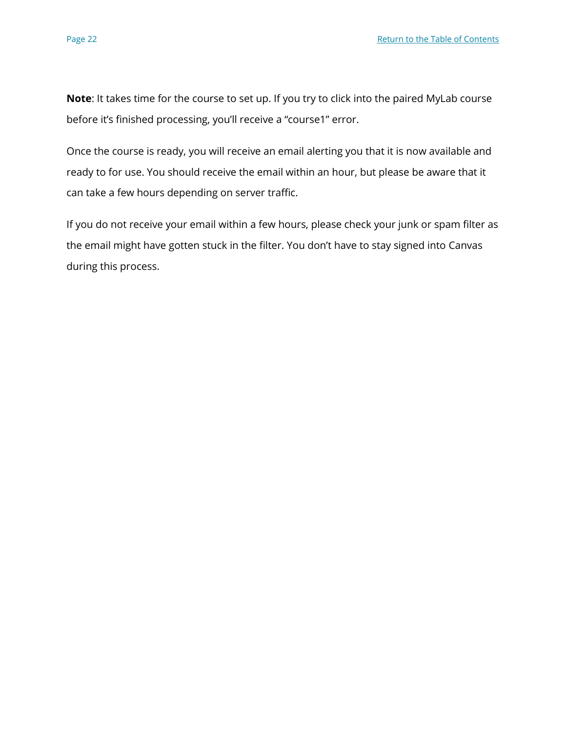**Note**: It takes time for the course to set up. If you try to click into the paired MyLab course before it's finished processing, you'll receive a "course1" error.

Once the course is ready, you will receive an email alerting you that it is now available and ready to for use. You should receive the email within an hour, but please be aware that it can take a few hours depending on server traffic.

If you do not receive your email within a few hours, please check your junk or spam filter as the email might have gotten stuck in the filter. You don't have to stay signed into Canvas during this process.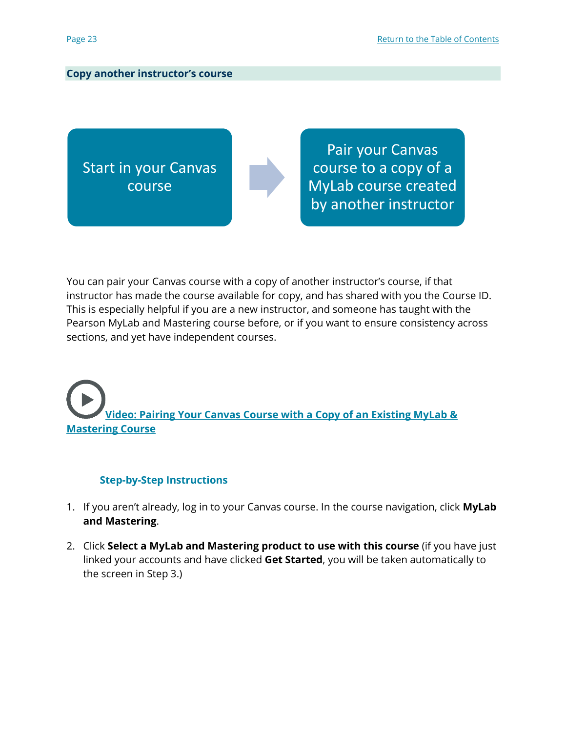## **Copy another instructor's course**

Start in your Canvas course

Pair your Canvas course to a copy of a MyLab course created by another instructor

You can pair your Canvas course with a copy of another instructor's course, if that instructor has made the course available for copy, and has shared with you the Course ID. This is especially helpful if you are a new instructor, and someone has taught with the Pearson MyLab and Mastering course before, or if you want to ensure consistency across sections, and yet have independent courses.

# **[Video: Pairing Your Canvas Course with a Copy of an Existing MyLab &](https://www.youtube.com/watch?v=q0dSVrFr7v4&list=PL9D77SRA6m1tGYPWEj14pG_8AquWzaXm6&index=5)  [Mastering Course](https://www.youtube.com/watch?v=q0dSVrFr7v4&list=PL9D77SRA6m1tGYPWEj14pG_8AquWzaXm6&index=5)**

## **Step-by-Step Instructions**

- 1. If you aren't already, log in to your Canvas course. In the course navigation, click **MyLab and Mastering**.
- 2. Click **Select a MyLab and Mastering product to use with this course** (if you have just linked your accounts and have clicked **Get Started**, you will be taken automatically to the screen in Step 3.)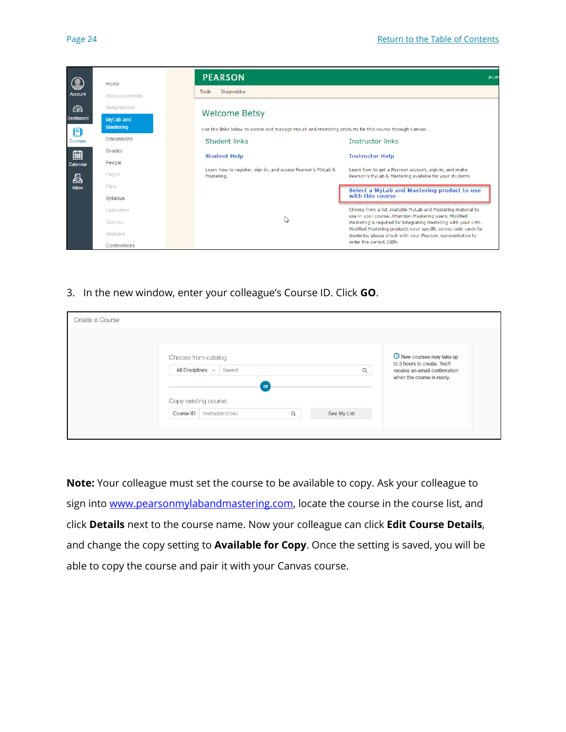|                       | Home                                 | <b>PEARSON</b>                     |                                                              | <b>ALW</b>                                                                                                                    |
|-----------------------|--------------------------------------|------------------------------------|--------------------------------------------------------------|-------------------------------------------------------------------------------------------------------------------------------|
| <b>Account</b>        | Announcements                        | <b>Diagnostics</b><br><b>Tools</b> |                                                              |                                                                                                                               |
| $\odot$               | Assignments                          | <b>Welcome Betsy</b>               |                                                              |                                                                                                                               |
| <b>Dashboard</b><br>Ð | <b>MyLab and</b><br><b>Mastering</b> |                                    |                                                              | Use the links below to access and manage MyLab and Mastering products for this course through Canvas.                         |
| Courses               | Discussions                          | Student links                      |                                                              | Instructor links                                                                                                              |
| 翩                     | Grades                               | <b>Student Help</b>                |                                                              | <b>Instructor Help</b>                                                                                                        |
| Calendar              | People                               |                                    |                                                              |                                                                                                                               |
| 邑                     | Pages                                | Mastering.                         | Learn how to register, sign in, and access Pearson's MyLab & | Learn how to get a Pearson account, sign in, and make<br>Pearson's MyLab & Mastering available for your students.             |
| <b>Inbox</b>          | Files                                |                                    |                                                              | Select a MyLab and Mastering product to use                                                                                   |
|                       | Svilabus                             |                                    |                                                              | with this course                                                                                                              |
|                       | Outcomes                             |                                    |                                                              | Choose from a list available MyLab and Mastering material to                                                                  |
|                       | Quizzes                              |                                    | Z                                                            | use in your course. Attention Mastering users: Modified<br>Mastering is required for integrating Mastering with your LMS.     |
|                       | Modules                              |                                    |                                                              | Modified Mastering products have specific access code cards for<br>students; please check with your Pearson representative to |
|                       | Conferences                          |                                    |                                                              | order the correct ISBN.                                                                                                       |

3. In the new window, enter your colleague's Course ID. Click **GO**.

| Create a Course                                                                                                                                                                                                                                                                                           |
|-----------------------------------------------------------------------------------------------------------------------------------------------------------------------------------------------------------------------------------------------------------------------------------------------------------|
| <b>O</b> New courses may take up<br>Choose from catalog<br>to 3 hours to create. You'll<br>All Disciplines $\sim$<br>Search<br>Q<br>receive an email confirmation<br>when the course is ready.<br>$^{\circ}$ or<br>Copy existing course<br><b>Course ID</b><br>See My List<br>Instructor12345<br>$\alpha$ |

**Note:** Your colleague must set the course to be available to copy. Ask your colleague to sign into [www.pearsonmylabandmastering.com,](http://www.pearsonmylabandmastering.com/) locate the course in the course list, and click **Details** next to the course name. Now your colleague can click **Edit Course Details**, and change the copy setting to **Available for Copy**. Once the setting is saved, you will be able to copy the course and pair it with your Canvas course.